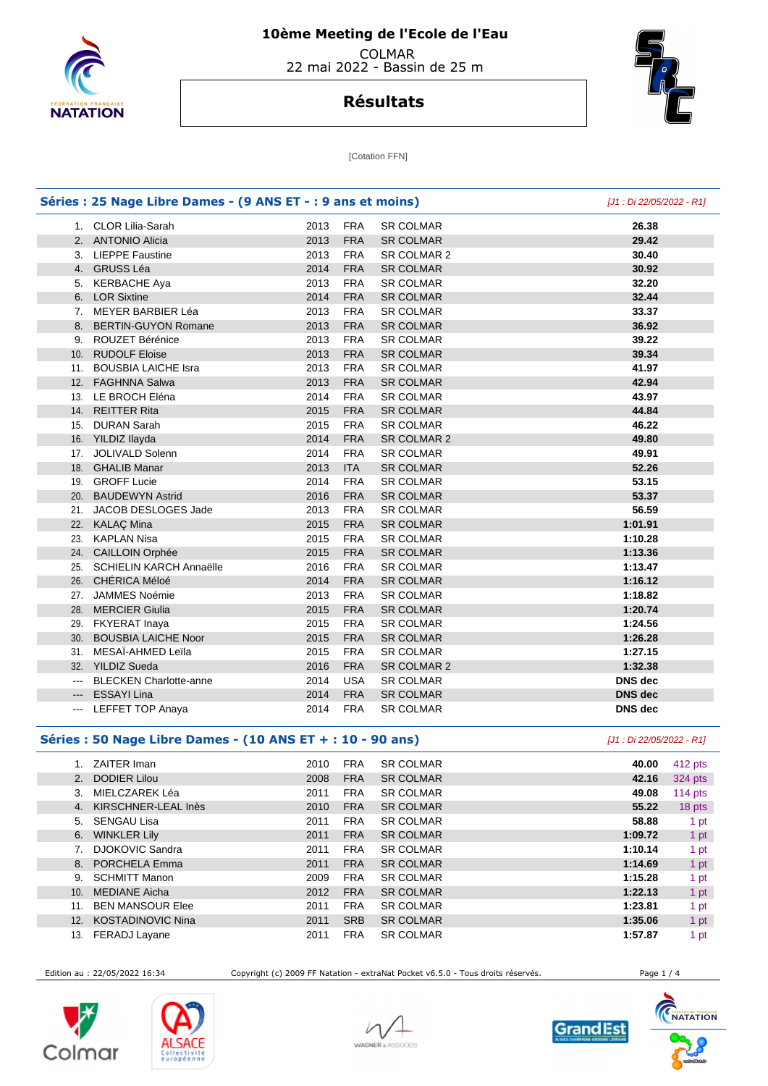

## **Résultats**



[Cotation FFN]

| Séries : 25 Nage Libre Dames - (9 ANS ET - : 9 ans et moins) |      |            |                  | [J1 : Di 22/05/2022 - R1] |
|--------------------------------------------------------------|------|------------|------------------|---------------------------|
| 1. CLOR Lilia-Sarah                                          | 2013 | <b>FRA</b> | <b>SR COLMAR</b> | 26.38                     |
| 2. ANTONIO Alicia                                            | 2013 | <b>FRA</b> | <b>SR COLMAR</b> | 29.42                     |
| 3. LIEPPE Faustine                                           | 2013 | <b>FRA</b> | SR COLMAR 2      | 30.40                     |
| 4. GRUSS Léa                                                 | 2014 | <b>FRA</b> | <b>SR COLMAR</b> | 30.92                     |
| 5. KERBACHE Aya                                              | 2013 | <b>FRA</b> | <b>SR COLMAR</b> | 32.20                     |
| 6. LOR Sixtine                                               | 2014 | <b>FRA</b> | <b>SR COLMAR</b> | 32.44                     |
| 7. MEYER BARBIER Léa                                         | 2013 | <b>FRA</b> | <b>SR COLMAR</b> | 33.37                     |
| 8. BERTIN-GUYON Romane                                       | 2013 | <b>FRA</b> | <b>SR COLMAR</b> | 36.92                     |
| 9. ROUZET Bérénice                                           | 2013 | <b>FRA</b> | <b>SR COLMAR</b> | 39.22                     |
| 10. RUDOLF Eloise                                            | 2013 | <b>FRA</b> | <b>SR COLMAR</b> | 39.34                     |
| 11. BOUSBIA LAICHE Isra                                      | 2013 | <b>FRA</b> | <b>SR COLMAR</b> | 41.97                     |
| 12. FAGHNNA Salwa                                            | 2013 | <b>FRA</b> | <b>SR COLMAR</b> | 42.94                     |
| 13. LE BROCH Eléna                                           | 2014 | <b>FRA</b> | <b>SR COLMAR</b> | 43.97                     |
| 14. REITTER Rita                                             | 2015 | <b>FRA</b> | <b>SR COLMAR</b> | 44.84                     |
| 15. DURAN Sarah                                              | 2015 | <b>FRA</b> | <b>SR COLMAR</b> | 46.22                     |
| 16. YILDIZ Ilayda                                            | 2014 | <b>FRA</b> | SR COLMAR 2      | 49.80                     |
| 17. JOLIVALD Solenn                                          | 2014 | <b>FRA</b> | <b>SR COLMAR</b> | 49.91                     |
| 18. GHALIB Manar                                             | 2013 | <b>ITA</b> | <b>SR COLMAR</b> | 52.26                     |
| 19. GROFF Lucie                                              | 2014 | <b>FRA</b> | <b>SR COLMAR</b> | 53.15                     |
| 20. BAUDEWYN Astrid                                          | 2016 | <b>FRA</b> | <b>SR COLMAR</b> | 53.37                     |
| 21. JACOB DESLOGES Jade                                      | 2013 | <b>FRA</b> | <b>SR COLMAR</b> | 56.59                     |
| 22. KALAÇ Mina                                               | 2015 | <b>FRA</b> | <b>SR COLMAR</b> | 1:01.91                   |
| 23. KAPLAN Nisa                                              | 2015 | <b>FRA</b> | <b>SR COLMAR</b> | 1:10.28                   |
| 24. CAILLOIN Orphée                                          | 2015 | <b>FRA</b> | <b>SR COLMAR</b> | 1:13.36                   |
| 25. SCHIELIN KARCH Annaëlle                                  | 2016 | <b>FRA</b> | <b>SR COLMAR</b> | 1:13.47                   |
| 26. CHÉRICA Méloé                                            | 2014 | <b>FRA</b> | <b>SR COLMAR</b> | 1:16.12                   |
| 27. JAMMES Noémie                                            | 2013 | <b>FRA</b> | <b>SR COLMAR</b> | 1:18.82                   |
| 28. MERCIER Giulia                                           | 2015 | <b>FRA</b> | <b>SR COLMAR</b> | 1:20.74                   |
| 29. FKYERAT Inaya                                            | 2015 | <b>FRA</b> | <b>SR COLMAR</b> | 1:24.56                   |
| 30. BOUSBIA LAICHE Noor                                      | 2015 | <b>FRA</b> | <b>SR COLMAR</b> | 1:26.28                   |
| 31. MESAÏ-AHMED Leïla                                        | 2015 | <b>FRA</b> | <b>SR COLMAR</b> | 1:27.15                   |
| 32. YILDIZ Sueda                                             | 2016 | <b>FRA</b> | SR COLMAR 2      | 1:32.38                   |
| --- BLECKEN Charlotte-anne                                   | 2014 | <b>USA</b> | <b>SR COLMAR</b> | <b>DNS</b> dec            |
| --- ESSAYI Lina                                              | 2014 | <b>FRA</b> | <b>SR COLMAR</b> | <b>DNS</b> dec            |
| <b>LEFFET TOP Anaya</b>                                      | 2014 | <b>FRA</b> | <b>SR COLMAR</b> | <b>DNS</b> dec            |

### **Séries : 50 Nage Libre Dames - (10 ANS ET + : 10 - 90 ans)** [J1 : Di 22/05/2022 - R1]

|     | <b>ZAITER Iman</b>       | 2010 | <b>FRA</b> | <b>SR COLMAR</b> | 40.00   | 412 pts |
|-----|--------------------------|------|------------|------------------|---------|---------|
| 2.  | <b>DODIER Lilou</b>      | 2008 | <b>FRA</b> | <b>SR COLMAR</b> | 42.16   | 324 pts |
| 3.  | MIELCZAREK Léa           | 2011 | <b>FRA</b> | <b>SR COLMAR</b> | 49.08   | 114 pts |
| 4.  | KIRSCHNER-LEAL Inès      | 2010 | <b>FRA</b> | <b>SR COLMAR</b> | 55.22   | 18 pts  |
| 5.  | <b>SENGAU Lisa</b>       | 2011 | <b>FRA</b> | <b>SR COLMAR</b> | 58.88   | 1 pt    |
| 6.  | <b>WINKLER Lily</b>      | 2011 | <b>FRA</b> | <b>SR COLMAR</b> | 1:09.72 | 1 pt    |
| 7.  | <b>DJOKOVIC Sandra</b>   | 2011 | <b>FRA</b> | <b>SR COLMAR</b> | 1:10.14 | 1 pt    |
| 8.  | PORCHELA Emma            | 2011 | <b>FRA</b> | <b>SR COLMAR</b> | 1:14.69 | 1 pt    |
| 9.  | <b>SCHMITT Manon</b>     | 2009 | <b>FRA</b> | <b>SR COLMAR</b> | 1:15.28 | 1 pt    |
| 10. | <b>MEDIANE Aicha</b>     | 2012 | <b>FRA</b> | <b>SR COLMAR</b> | 1:22.13 | 1 pt    |
| 11. | <b>BEN MANSOUR Elee</b>  | 2011 | <b>FRA</b> | <b>SR COLMAR</b> | 1:23.81 | 1 pt    |
| 12. | <b>KOSTADINOVIC Nina</b> | 2011 | <b>SRB</b> | <b>SR COLMAR</b> | 1:35.06 | 1 pt    |
| 13. | FERADJ Layane            | 2011 | <b>FRA</b> | <b>SR COLMAR</b> | 1:57.87 | 1 pt    |

Edition au : 22/05/2022 16:34 Copyright (c) 2009 FF Natation - extraNat Pocket v6.5.0 - Tous droits réservés. Page 1 / 4









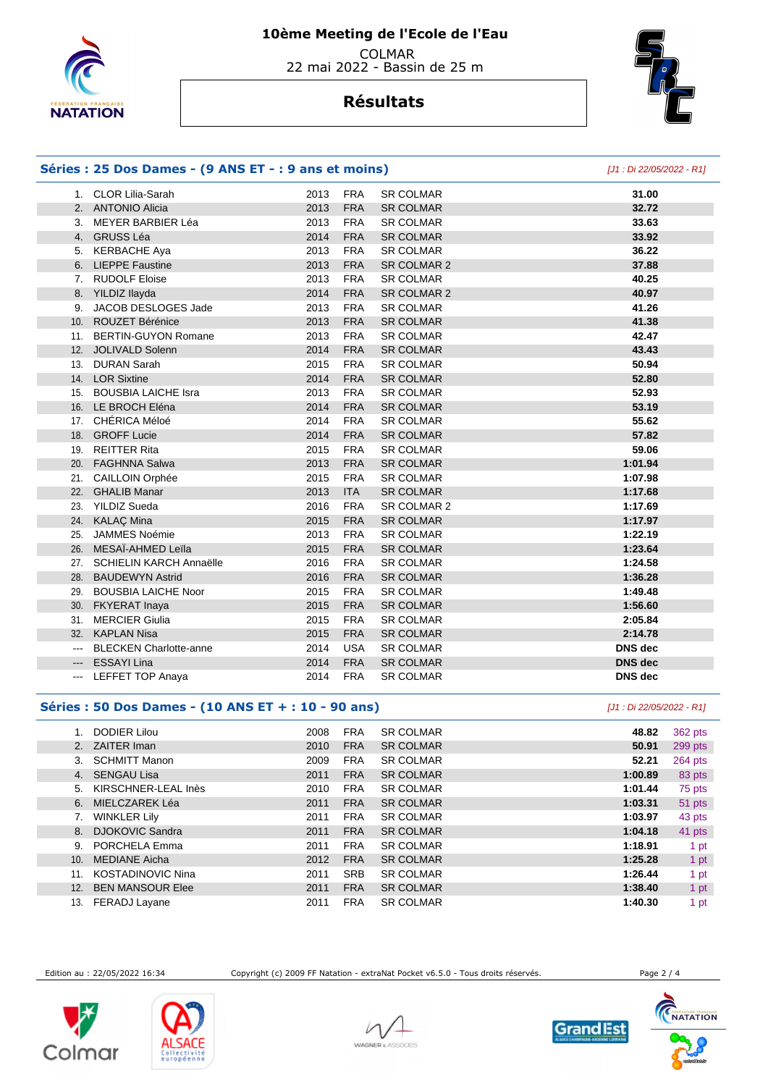

# **Résultats**



### **Séries : 25 Dos Dames - (9 ANS ET - : 9 ans et moins)** [J1 : Di 22/05/2022 - R1]

|        | 1. CLOR Lilia-Sarah           | 2013 | <b>FRA</b> | <b>SR COLMAR</b> | 31.00          |
|--------|-------------------------------|------|------------|------------------|----------------|
|        | 2. ANTONIO Alicia             | 2013 | <b>FRA</b> | <b>SR COLMAR</b> | 32.72          |
|        | 3. MEYER BARBIER Léa          | 2013 | <b>FRA</b> | <b>SR COLMAR</b> | 33.63          |
|        | 4. GRUSS Léa                  | 2014 | <b>FRA</b> | <b>SR COLMAR</b> | 33.92          |
|        | 5. KERBACHE Aya               | 2013 | <b>FRA</b> | <b>SR COLMAR</b> | 36.22          |
|        | 6. LIEPPE Faustine            | 2013 | <b>FRA</b> | SR COLMAR 2      | 37.88          |
|        | 7. RUDOLF Eloise              | 2013 | <b>FRA</b> | <b>SR COLMAR</b> | 40.25          |
|        | 8. YILDIZ Ilayda              | 2014 | <b>FRA</b> | SR COLMAR 2      | 40.97          |
| 9.     | JACOB DESLOGES Jade           | 2013 | <b>FRA</b> | <b>SR COLMAR</b> | 41.26          |
|        | 10. ROUZET Bérénice           | 2013 | <b>FRA</b> | <b>SR COLMAR</b> | 41.38          |
|        | 11. BERTIN-GUYON Romane       | 2013 | <b>FRA</b> | <b>SR COLMAR</b> | 42.47          |
|        | 12. JOLIVALD Solenn           | 2014 | <b>FRA</b> | <b>SR COLMAR</b> | 43.43          |
|        | 13. DURAN Sarah               | 2015 | <b>FRA</b> | <b>SR COLMAR</b> | 50.94          |
|        | 14. LOR Sixtine               | 2014 | <b>FRA</b> | <b>SR COLMAR</b> | 52.80          |
|        | 15. BOUSBIA LAICHE Isra       | 2013 | <b>FRA</b> | <b>SR COLMAR</b> | 52.93          |
|        | 16. LE BROCH Eléna            | 2014 | <b>FRA</b> | <b>SR COLMAR</b> | 53.19          |
|        | 17. CHÉRICA Méloé             | 2014 | <b>FRA</b> | <b>SR COLMAR</b> | 55.62          |
|        | 18. GROFF Lucie               | 2014 | <b>FRA</b> | <b>SR COLMAR</b> | 57.82          |
|        | 19. REITTER Rita              | 2015 | <b>FRA</b> | <b>SR COLMAR</b> | 59.06          |
|        | 20. FAGHNNA Salwa             | 2013 | <b>FRA</b> | <b>SR COLMAR</b> | 1:01.94        |
|        | 21. CAILLOIN Orphée           | 2015 | <b>FRA</b> | <b>SR COLMAR</b> | 1:07.98        |
| 22.    | <b>GHALIB Manar</b>           | 2013 | <b>ITA</b> | <b>SR COLMAR</b> | 1:17.68        |
| 23.    | <b>YILDIZ Sueda</b>           | 2016 | <b>FRA</b> | SR COLMAR 2      | 1:17.69        |
|        | 24. KALAÇ Mina                | 2015 | <b>FRA</b> | <b>SR COLMAR</b> | 1:17.97        |
| 25.    | <b>JAMMES Noémie</b>          | 2013 | <b>FRA</b> | <b>SR COLMAR</b> | 1:22.19        |
|        | 26. MESAÏ-AHMED Leïla         | 2015 | <b>FRA</b> | <b>SR COLMAR</b> | 1:23.64        |
|        | 27. SCHIELIN KARCH Annaëlle   | 2016 | <b>FRA</b> | <b>SR COLMAR</b> | 1:24.58        |
|        | 28. BAUDEWYN Astrid           | 2016 | <b>FRA</b> | <b>SR COLMAR</b> | 1:36.28        |
|        | 29. BOUSBIA LAICHE Noor       | 2015 | <b>FRA</b> | <b>SR COLMAR</b> | 1:49.48        |
|        | 30. FKYERAT Inaya             | 2015 | <b>FRA</b> | <b>SR COLMAR</b> | 1:56.60        |
| 31.    | <b>MERCIER Giulia</b>         | 2015 | <b>FRA</b> | <b>SR COLMAR</b> | 2:05.84        |
|        | 32. KAPLAN Nisa               | 2015 | <b>FRA</b> | <b>SR COLMAR</b> | 2:14.78        |
| $\sim$ | <b>BLECKEN Charlotte-anne</b> | 2014 | <b>USA</b> | <b>SR COLMAR</b> | <b>DNS</b> dec |
| --- 1  | <b>ESSAYI Lina</b>            | 2014 | <b>FRA</b> | <b>SR COLMAR</b> | <b>DNS</b> dec |
| ---    | <b>LEFFET TOP Anaya</b>       | 2014 | <b>FRA</b> | <b>SR COLMAR</b> | <b>DNS</b> dec |

#### **Séries : 50 Dos Dames - (10 ANS ET + : 10 - 90 ans)** [J1 : Di 22/05/2022 - R1]

|     | <b>DODIER Lilou</b>      | 2008 | <b>FRA</b> | <b>SR COLMAR</b> | 48.82   | 362 pts |
|-----|--------------------------|------|------------|------------------|---------|---------|
|     | 2. ZAITER Iman           | 2010 | <b>FRA</b> | <b>SR COLMAR</b> | 50.91   | 299 pts |
| 3.  | <b>SCHMITT Manon</b>     | 2009 | <b>FRA</b> | <b>SR COLMAR</b> | 52.21   | 264 pts |
| 4.  | <b>SENGAU Lisa</b>       | 2011 | <b>FRA</b> | <b>SR COLMAR</b> | 1:00.89 | 83 pts  |
| 5.  | KIRSCHNER-LEAL Inès      | 2010 | <b>FRA</b> | <b>SR COLMAR</b> | 1:01.44 | 75 pts  |
| 6.  | MIELCZAREK Léa           | 2011 | <b>FRA</b> | <b>SR COLMAR</b> | 1:03.31 | 51 pts  |
|     | <b>WINKLER Lily</b>      | 2011 | <b>FRA</b> | <b>SR COLMAR</b> | 1:03.97 | 43 pts  |
| 8.  | <b>DJOKOVIC Sandra</b>   | 2011 | <b>FRA</b> | <b>SR COLMAR</b> | 1:04.18 | 41 pts  |
| 9.  | PORCHELA Emma            | 2011 | <b>FRA</b> | <b>SR COLMAR</b> | 1:18.91 | 1 pt    |
| 10. | <b>MEDIANE Aicha</b>     | 2012 | <b>FRA</b> | <b>SR COLMAR</b> | 1:25.28 | 1 pt    |
| 11. | <b>KOSTADINOVIC Nina</b> | 2011 | <b>SRB</b> | <b>SR COLMAR</b> | 1:26.44 | 1 pt    |
| 12. | <b>BEN MANSOUR Elee</b>  | 2011 | <b>FRA</b> | <b>SR COLMAR</b> | 1:38.40 | 1 pt    |
| 13. | FERADJ Layane            | 2011 | <b>FRA</b> | <b>SR COLMAR</b> | 1:40.30 | 1 pt    |

Edition au : 22/05/2022 16:34 Copyright (c) 2009 FF Natation - extraNat Pocket v6.5.0 - Tous droits réservés. Page 2 / 4









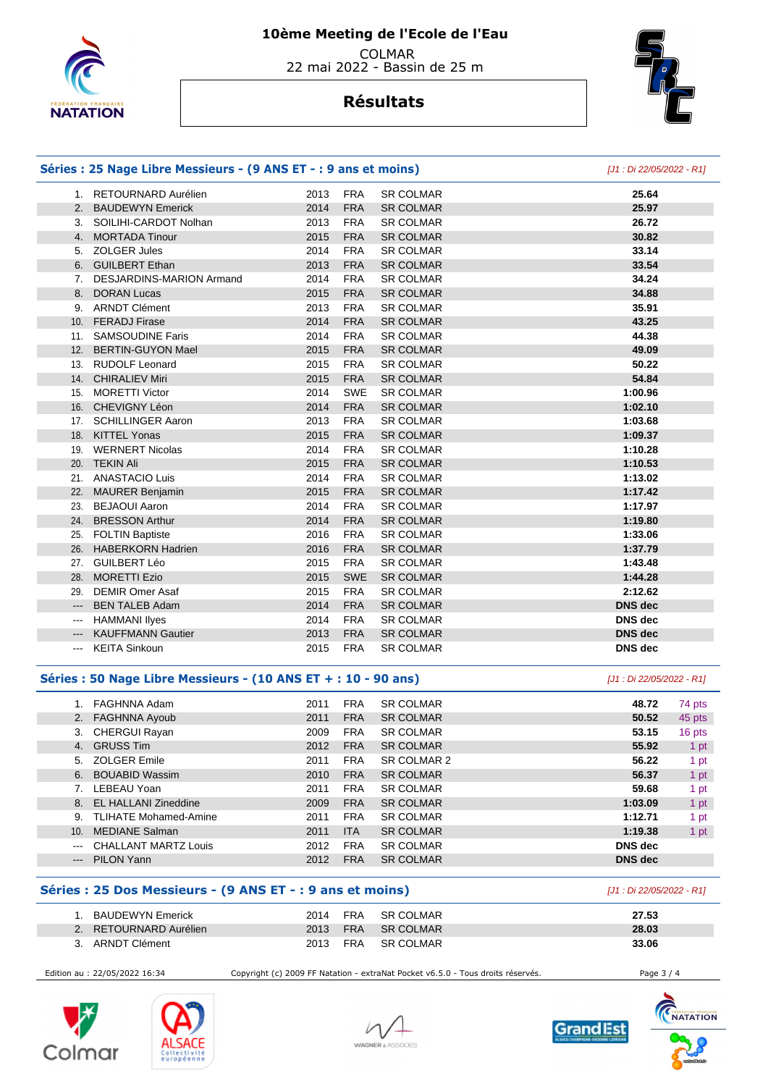

## **Résultats**



|                                                                                                                                                                                                                                                                                                                                                                                                                                                                            | Séries : 25 Nage Libre Messieurs - (9 ANS ET - : 9 ans et moins) | [J1 : Di 22/05/2022 - R1] |                          |                  |                           |        |
|----------------------------------------------------------------------------------------------------------------------------------------------------------------------------------------------------------------------------------------------------------------------------------------------------------------------------------------------------------------------------------------------------------------------------------------------------------------------------|------------------------------------------------------------------|---------------------------|--------------------------|------------------|---------------------------|--------|
|                                                                                                                                                                                                                                                                                                                                                                                                                                                                            | 1. RETOURNARD Aurélien                                           | 2013                      | <b>FRA</b>               | <b>SR COLMAR</b> | 25.64                     |        |
|                                                                                                                                                                                                                                                                                                                                                                                                                                                                            | 2. BAUDEWYN Emerick                                              | 2014                      | <b>FRA</b>               | <b>SR COLMAR</b> | 25.97                     |        |
|                                                                                                                                                                                                                                                                                                                                                                                                                                                                            | 3. SOILIHI-CARDOT Nolhan                                         | 2013                      | <b>FRA</b>               | <b>SR COLMAR</b> | 26.72                     |        |
|                                                                                                                                                                                                                                                                                                                                                                                                                                                                            | 4. MORTADA Tinour                                                | 2015                      | <b>FRA</b>               | <b>SR COLMAR</b> | 30.82                     |        |
|                                                                                                                                                                                                                                                                                                                                                                                                                                                                            | 5. ZOLGER Jules                                                  | 2014                      | <b>FRA</b>               | <b>SR COLMAR</b> | 33.14                     |        |
|                                                                                                                                                                                                                                                                                                                                                                                                                                                                            | 6. GUILBERT Ethan                                                | 2013                      | <b>FRA</b>               | <b>SR COLMAR</b> | 33.54                     |        |
|                                                                                                                                                                                                                                                                                                                                                                                                                                                                            | 7. DESJARDINS-MARION Armand                                      | 2014                      | <b>FRA</b>               | <b>SR COLMAR</b> | 34.24                     |        |
|                                                                                                                                                                                                                                                                                                                                                                                                                                                                            | 8. DORAN Lucas                                                   | 2015                      | <b>FRA</b>               | <b>SR COLMAR</b> | 34.88                     |        |
|                                                                                                                                                                                                                                                                                                                                                                                                                                                                            | 9. ARNDT Clément                                                 | 2013                      | <b>FRA</b>               | <b>SR COLMAR</b> | 35.91                     |        |
|                                                                                                                                                                                                                                                                                                                                                                                                                                                                            | 10. FERADJ Firase                                                | 2014                      | <b>FRA</b>               | <b>SR COLMAR</b> | 43.25                     |        |
|                                                                                                                                                                                                                                                                                                                                                                                                                                                                            | 11. SAMSOUDINE Faris                                             | 2014                      | <b>FRA</b>               | <b>SR COLMAR</b> | 44.38                     |        |
|                                                                                                                                                                                                                                                                                                                                                                                                                                                                            | 12. BERTIN-GUYON Mael                                            | 2015                      | <b>FRA</b>               | <b>SR COLMAR</b> | 49.09                     |        |
|                                                                                                                                                                                                                                                                                                                                                                                                                                                                            | 13. RUDOLF Leonard                                               | 2015                      | <b>FRA</b>               | <b>SR COLMAR</b> | 50.22                     |        |
|                                                                                                                                                                                                                                                                                                                                                                                                                                                                            | 14. CHIRALIEV Miri                                               | 2015                      | <b>FRA</b>               | <b>SR COLMAR</b> | 54.84                     |        |
|                                                                                                                                                                                                                                                                                                                                                                                                                                                                            | 15. MORETTI Victor                                               | 2014                      | <b>SWE</b>               | <b>SR COLMAR</b> | 1:00.96                   |        |
|                                                                                                                                                                                                                                                                                                                                                                                                                                                                            | 16. CHEVIGNY Léon                                                | 2014                      | <b>FRA</b>               | <b>SR COLMAR</b> | 1:02.10                   |        |
|                                                                                                                                                                                                                                                                                                                                                                                                                                                                            | 17. SCHILLINGER Aaron                                            | 2013                      | <b>FRA</b>               | <b>SR COLMAR</b> | 1:03.68                   |        |
|                                                                                                                                                                                                                                                                                                                                                                                                                                                                            | 18. KITTEL Yonas                                                 | 2015                      | <b>FRA</b>               | <b>SR COLMAR</b> | 1:09.37                   |        |
|                                                                                                                                                                                                                                                                                                                                                                                                                                                                            | 19. WERNERT Nicolas                                              | 2014                      | <b>FRA</b>               | <b>SR COLMAR</b> | 1:10.28                   |        |
|                                                                                                                                                                                                                                                                                                                                                                                                                                                                            | 20. TEKIN Ali                                                    | 2015                      | <b>FRA</b>               | <b>SR COLMAR</b> | 1:10.53                   |        |
|                                                                                                                                                                                                                                                                                                                                                                                                                                                                            | 21. ANASTACIO Luis                                               | 2014                      | <b>FRA</b>               | <b>SR COLMAR</b> | 1:13.02                   |        |
|                                                                                                                                                                                                                                                                                                                                                                                                                                                                            | 22. MAURER Benjamin                                              | 2015                      | <b>FRA</b>               | <b>SR COLMAR</b> | 1:17.42                   |        |
|                                                                                                                                                                                                                                                                                                                                                                                                                                                                            | 23. BEJAOUI Aaron                                                | 2014                      | <b>FRA</b>               | <b>SR COLMAR</b> | 1:17.97                   |        |
|                                                                                                                                                                                                                                                                                                                                                                                                                                                                            | 24. BRESSON Arthur                                               | 2014                      | <b>FRA</b>               | <b>SR COLMAR</b> | 1:19.80                   |        |
|                                                                                                                                                                                                                                                                                                                                                                                                                                                                            | 25. FOLTIN Baptiste                                              | 2016                      | <b>FRA</b>               | <b>SR COLMAR</b> | 1:33.06                   |        |
|                                                                                                                                                                                                                                                                                                                                                                                                                                                                            | 26. HABERKORN Hadrien                                            | 2016                      | <b>FRA</b>               | <b>SR COLMAR</b> | 1:37.79                   |        |
|                                                                                                                                                                                                                                                                                                                                                                                                                                                                            | 27. GUILBERT Léo                                                 | 2015                      | <b>FRA</b>               | <b>SR COLMAR</b> | 1:43.48                   |        |
|                                                                                                                                                                                                                                                                                                                                                                                                                                                                            | 28. MORETTI Ezio                                                 | 2015                      | <b>SWE</b>               | <b>SR COLMAR</b> | 1:44.28                   |        |
| 29.                                                                                                                                                                                                                                                                                                                                                                                                                                                                        | <b>DEMIR Omer Asaf</b>                                           | 2015                      | <b>FRA</b>               | <b>SR COLMAR</b> | 2:12.62                   |        |
| ---                                                                                                                                                                                                                                                                                                                                                                                                                                                                        | <b>BEN TALEB Adam</b>                                            | 2014                      | <b>FRA</b>               | <b>SR COLMAR</b> | <b>DNS dec</b>            |        |
| $\frac{1}{2} \left( \frac{1}{2} \right) \left( \frac{1}{2} \right) \left( \frac{1}{2} \right) \left( \frac{1}{2} \right) \left( \frac{1}{2} \right) \left( \frac{1}{2} \right) \left( \frac{1}{2} \right) \left( \frac{1}{2} \right) \left( \frac{1}{2} \right) \left( \frac{1}{2} \right) \left( \frac{1}{2} \right) \left( \frac{1}{2} \right) \left( \frac{1}{2} \right) \left( \frac{1}{2} \right) \left( \frac{1}{2} \right) \left( \frac{1}{2} \right) \left( \frac$ | <b>HAMMANI llyes</b>                                             | 2014                      | <b>FRA</b>               | SR COLMAR        | <b>DNS</b> dec            |        |
| $---$                                                                                                                                                                                                                                                                                                                                                                                                                                                                      | <b>KAUFFMANN Gautier</b>                                         | 2013                      | <b>FRA</b>               | <b>SR COLMAR</b> | <b>DNS</b> dec            |        |
|                                                                                                                                                                                                                                                                                                                                                                                                                                                                            | <b>KEITA Sinkoun</b>                                             | 2015                      | <b>FRA</b>               | <b>SR COLMAR</b> | <b>DNS</b> dec            |        |
|                                                                                                                                                                                                                                                                                                                                                                                                                                                                            | Séries : 50 Nage Libre Messieurs - (10 ANS ET + : 10 - 90 ans)   |                           |                          |                  | [J1 : Di 22/05/2022 - R1] |        |
|                                                                                                                                                                                                                                                                                                                                                                                                                                                                            | 1. FAGHNNA Adam                                                  | 2011                      | <b>FRA</b>               | <b>SR COLMAR</b> | 48.72                     | 74 pts |
|                                                                                                                                                                                                                                                                                                                                                                                                                                                                            | 2. FAGHNNA Ayoub                                                 | 2011                      | <b>FRA</b>               | <b>SR COLMAR</b> | 50.52                     | 45 pts |
|                                                                                                                                                                                                                                                                                                                                                                                                                                                                            | 3. CHERGUI Rayan                                                 | 2009                      | <b>FRA</b>               | <b>SR COLMAR</b> | 53.15                     | 16 pts |
|                                                                                                                                                                                                                                                                                                                                                                                                                                                                            | 4. GRUSS Tim                                                     | 2012                      | <b>FRA</b>               | <b>SR COLMAR</b> | 55.92                     | 1 pt   |
| 5.                                                                                                                                                                                                                                                                                                                                                                                                                                                                         | <b>ZOLGER Emile</b>                                              | 2011                      | <b>FRA</b>               | SR COLMAR 2      | 56.22                     | 1 pt   |
|                                                                                                                                                                                                                                                                                                                                                                                                                                                                            | 6. BOUABID Wassim                                                | 2010                      | <b>FRA</b>               | <b>SR COLMAR</b> | 56.37                     | 1 pt   |
|                                                                                                                                                                                                                                                                                                                                                                                                                                                                            | 7. LEBEAU Yoan                                                   | 2011                      | <b>FRA</b>               | <b>SR COLMAR</b> | 59.68                     | 1 pt   |
|                                                                                                                                                                                                                                                                                                                                                                                                                                                                            | 8. EL HALLANI Zineddine                                          | 2009                      | <b>FRA</b>               | <b>SR COLMAR</b> | 1:03.09                   | 1 pt   |
|                                                                                                                                                                                                                                                                                                                                                                                                                                                                            |                                                                  | 2011                      | <b>FRA</b>               | <b>SR COLMAR</b> | 1:12.71                   | 1 pt   |
| 9.                                                                                                                                                                                                                                                                                                                                                                                                                                                                         | <b>TLIHATE Mohamed-Amine</b>                                     |                           |                          |                  |                           |        |
| 10.                                                                                                                                                                                                                                                                                                                                                                                                                                                                        | <b>MEDIANE Salman</b>                                            | 2011                      | <b>ITA</b>               | <b>SR COLMAR</b> | 1:19.38                   | 1 pt   |
| $\hspace{0.05cm} \ldots$                                                                                                                                                                                                                                                                                                                                                                                                                                                   | <b>CHALLANT MARTZ Louis</b>                                      | 2012                      | <b>FRA</b><br><b>FRA</b> | <b>SR COLMAR</b> | DNS dec                   |        |

### **Séries : 25 Dos Messieurs - (9 ANS ET - : 9 ans et moins)** [J1 : Di 22/05/2022 - R1]

| BAUDEWYN Emerick    | 2014 | <b>FRA</b> | <b>SR COLMAR</b> | 27.53 |
|---------------------|------|------------|------------------|-------|
| RETOURNARD Aurélien | 2013 | <b>FRA</b> | <b>SR COLMAR</b> | 28.03 |
| ARNDT Clément       | 2013 | FRA        | <b>SR COLMAR</b> | 33.06 |

Edition au : 22/05/2022 16:34 Copyright (c) 2009 FF Natation - extraNat Pocket v6.5.0 - Tous droits réservés. Page 3 / 4